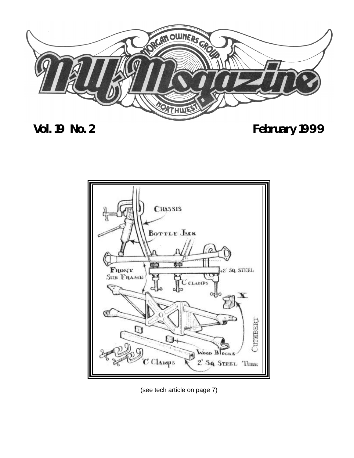

## **Vol. 19 No. 2 February 1999**



(see tech article on page 7)